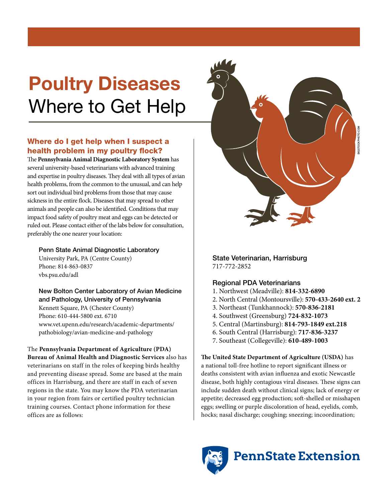# Poultry Diseases Where to Get Help

## Where do I get help when I suspect a health problem in my poultry flock?

The **Pennsylvania Animal Diagnostic Laboratory System** has several university-based veterinarians with advanced training and expertise in poultry diseases. They deal with all types of avian health problems, from the common to the unusual, and can help sort out individual bird problems from those that may cause sickness in the entire flock. Diseases that may spread to other animals and people can also be identified. Conditions that may impact food safety of poultry meat and eggs can be detected or ruled out. Please contact either of the labs below for consultation, preferably the one nearer your location:

#### Penn State Animal Diagnostic Laboratory

University Park, PA (Centre County) Phone: 814-863-0837 vbs.psu.edu/adl

### New Bolton Center Laboratory of Avian Medicine and Pathology, University of Pennsylvania

Kennett Square, PA (Chester County) Phone: 610-444-5800 ext. 6710 www.vet.upenn.edu/research/academic-departments/ pathobiology/avian-medicine-and-pathology

The **Pennsylvania Department of Agriculture (PDA) Bureau of Animal Health and Diagnostic Services** also has veterinarians on staff in the roles of keeping birds healthy and preventing disease spread. Some are based at the main offices in Harrisburg, and there are staff in each of seven regions in the state. You may know the PDA veterinarian in your region from fairs or certified poultry technician training courses. Contact phone information for these offices are as follows:



State Veterinarian, Harrisburg 717-772-2852

## Regional PDA Veterinarians

- 1. Northwest (Meadville): **814-332-6890**
- 2. North Central (Montoursville): **570-433-2640 ext. 2**
- 3. Northeast (Tunkhannock): **570-836-2181**
- 4. Southwest (Greensburg) **724-832-1073**
- 5. Central (Martinsburg): **814-793-1849 ext.218**
- 6. South Central (Harrisburg): **717-836-3237**
- 7. Southeast (Collegeville): **610-489-1003**

**The United State Department of Agriculture (USDA)** has a national toll-free hotline to report significant illness or deaths consistent with avian influenza and exotic Newcastle disease, both highly contagious viral diseases. These signs can include sudden death without clinical signs; lack of energy or appetite; decreased egg production; soft-shelled or misshapen eggs; swelling or purple discoloration of head, eyelids, comb, hocks; nasal discharge; coughing; sneezing; incoordination;